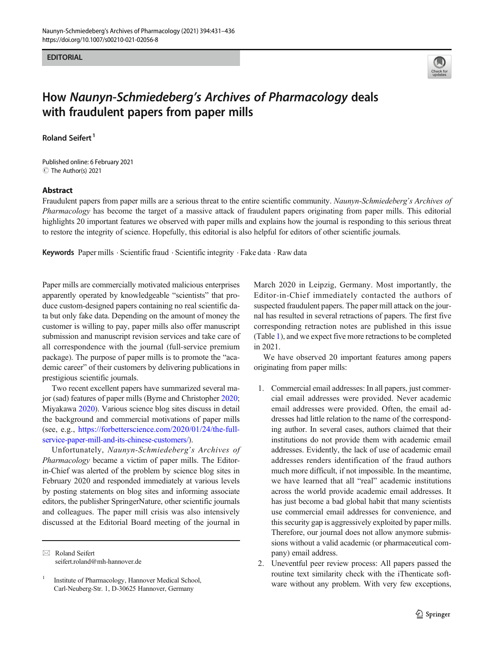#### **EDITORIAL**



# How Naunyn-Schmiedeberg's Archives of Pharmacology deals with fraudulent papers from paper mills

Roland Seifert <sup>1</sup>

C The Author(s) 2021 Published online: 6 February 2021

### Abstract

Fraudulent papers from paper mills are a serious threat to the entire scientific community. Naunyn-Schmiedeberg's Archives of Pharmacology has become the target of a massive attack of fraudulent papers originating from paper mills. This editorial highlights 20 important features we observed with paper mills and explains how the journal is responding to this serious threat to restore the integrity of science. Hopefully, this editorial is also helpful for editors of other scientific journals.

Keywords Paper mills · Scientific fraud · Scientific integrity · Fake data · Raw data

Paper mills are commercially motivated malicious enterprises apparently operated by knowledgeable "scientists" that produce custom-designed papers containing no real scientific data but only fake data. Depending on the amount of money the customer is willing to pay, paper mills also offer manuscript submission and manuscript revision services and take care of all correspondence with the journal (full-service premium package). The purpose of paper mills is to promote the "academic career" of their customers by delivering publications in prestigious scientific journals.

Two recent excellent papers have summarized several major (sad) features of paper mills (Byrne and Christopher [2020](#page-5-0); Miyakawa [2020](#page-5-0)). Various science blog sites discuss in detail the background and commercial motivations of paper mills (see, e.g., [https://forbetterscience.com/2020/01/24/the-full](https://forbetterscience.com/2020/01/24/the-full-service-paper-mill-and-its-chinese-customers/)[service-paper-mill-and-its-chinese-customers/](https://forbetterscience.com/2020/01/24/the-full-service-paper-mill-and-its-chinese-customers/)).

Unfortunately, Naunyn-Schmiedeberg's Archives of Pharmacology became a victim of paper mills. The Editorin-Chief was alerted of the problem by science blog sites in February 2020 and responded immediately at various levels by posting statements on blog sites and informing associate editors, the publisher SpringerNature, other scientific journals and colleagues. The paper mill crisis was also intensively discussed at the Editorial Board meeting of the journal in

March 2020 in Leipzig, Germany. Most importantly, the Editor-in-Chief immediately contacted the authors of suspected fraudulent papers. The paper mill attack on the journal has resulted in several retractions of papers. The first five corresponding retraction notes are published in this issue (Table [1](#page-1-0)), and we expect five more retractions to be completed in 2021.

We have observed 20 important features among papers originating from paper mills:

- 1. Commercial email addresses: In all papers, just commercial email addresses were provided. Never academic email addresses were provided. Often, the email addresses had little relation to the name of the corresponding author. In several cases, authors claimed that their institutions do not provide them with academic email addresses. Evidently, the lack of use of academic email addresses renders identification of the fraud authors much more difficult, if not impossible. In the meantime, we have learned that all "real" academic institutions across the world provide academic email addresses. It has just become a bad global habit that many scientists use commercial email addresses for convenience, and this security gap is aggressively exploited by paper mills. Therefore, our journal does not allow anymore submissions without a valid academic (or pharmaceutical company) email address.
- 2. Uneventful peer review process: All papers passed the routine text similarity check with the iThenticate software without any problem. With very few exceptions,

 $\boxtimes$  Roland Seifert [seifert.roland@mh-hannover.de](mailto:seifert.roland@mh-hannover.de)

<sup>&</sup>lt;sup>1</sup> Institute of Pharmacology, Hannover Medical School, Carl-Neuberg-Str. 1, D-30625 Hannover, Germany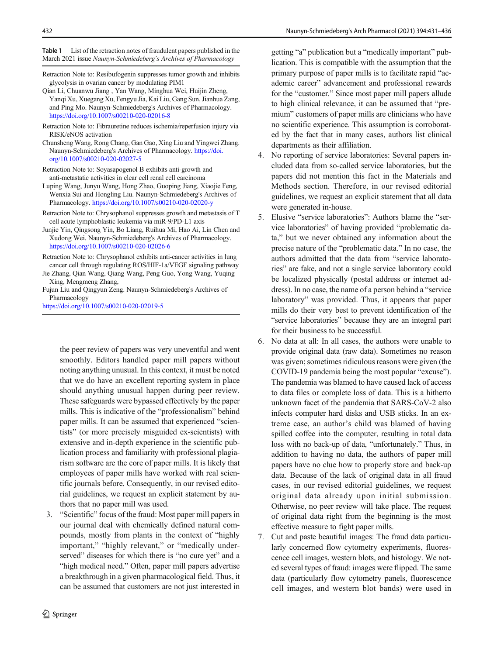<span id="page-1-0"></span>Table 1 List of the retraction notes of fraudulent papers published in the March 2021 issue Naunyn-Schmiedeberg's Archives of Pharmacology

- Retraction Note to: Resibufogenin suppresses tumor growth and inhibits glycolysis in ovarian cancer by modulating PIM1
- Qian Li, Chuanwu Jiang , Yan Wang, Minghua Wei, Huijin Zheng, Yanqi Xu, Xuegang Xu, Fengyu Jia, Kai Liu, Gang Sun, Jianhua Zang, and Ping Mo. Naunyn-Schmiedeberg's Archives of Pharmacology. <https://doi.org/10.1007/s00210-020-02016-8>
- Retraction Note to: Fibrauretine reduces ischemia/reperfusion injury via RISK/eNOS activation
- Chunsheng Wang, Rong Chang, Gan Gao, Xing Liu and Yingwei Zhang. Naunyn-Schmiedeberg's Archives of Pharmacology. [https://doi.](https://doi.org/10.1007/s00210-020-02027-5) [org/10.1007/s00210-020-02027-5](https://doi.org/10.1007/s00210-020-02027-5)
- Retraction Note to: Soyasapogenol B exhibits anti-growth and anti-metastatic activities in clear cell renal cell carcinoma
- Luping Wang, Junyu Wang, Hong Zhao, Guoping Jiang, Xiaojie Feng, Wenxia Sui and Hongling Liu. Naunyn-Schmiedeberg's Archives of Pharmacology. <https://doi.org/10.1007/s00210-020-02020-y>
- Retraction Note to: Chrysophanol suppresses growth and metastasis of T cell acute lymphoblastic leukemia via miR-9/PD-L1 axis
- Junjie Yin, Qingsong Yin, Bo Liang, Ruihua Mi, Hao Ai, Lin Chen and Xudong Wei. Naunyn-Schmiedeberg's Archives of Pharmacology. <https://doi.org/10.1007/s00210-020-02026-6>
- Retraction Note to: Chrysophanol exhibits anti-cancer activities in lung cancer cell through regulating ROS/HIF-1a/VEGF signaling pathway
- Jie Zhang, Qian Wang, Qiang Wang, Peng Guo, Yong Wang, Yuqing Xing, Mengmeng Zhang,
- Fujun Liu and Qingyun Zeng. Naunyn-Schmiedeberg's Archives of Pharmacology

<https://doi.org/10.1007/s00210-020-02019-5>

the peer review of papers was very uneventful and went smoothly. Editors handled paper mill papers without noting anything unusual. In this context, it must be noted that we do have an excellent reporting system in place should anything unusual happen during peer review. These safeguards were bypassed effectively by the paper mills. This is indicative of the "professionalism" behind paper mills. It can be assumed that experienced "scientists" (or more precisely misguided ex-scientists) with extensive and in-depth experience in the scientific publication process and familiarity with professional plagiarism software are the core of paper mills. It is likely that employees of paper mills have worked with real scientific journals before. Consequently, in our revised editorial guidelines, we request an explicit statement by authors that no paper mill was used.

3. "Scientific" focus of the fraud: Most paper mill papers in our journal deal with chemically defined natural compounds, mostly from plants in the context of "highly important," "highly relevant," or "medically underserved" diseases for which there is "no cure yet" and a "high medical need." Often, paper mill papers advertise a breakthrough in a given pharmacological field. Thus, it can be assumed that customers are not just interested in

getting "a" publication but a "medically important" publication. This is compatible with the assumption that the primary purpose of paper mills is to facilitate rapid "academic career" advancement and professional rewards for the "customer." Since most paper mill papers allude to high clinical relevance, it can be assumed that "premium" customers of paper mills are clinicians who have no scientific experience. This assumption is corroborated by the fact that in many cases, authors list clinical departments as their affiliation.

- 4. No reporting of service laboratories: Several papers included data from so-called service laboratories, but the papers did not mention this fact in the Materials and Methods section. Therefore, in our revised editorial guidelines, we request an explicit statement that all data were generated in-house.
- 5. Elusive "service laboratories": Authors blame the "service laboratories" of having provided "problematic data," but we never obtained any information about the precise nature of the "problematic data." In no case, the authors admitted that the data from "service laboratories" are fake, and not a single service laboratory could be localized physically (postal address or internet address). In no case, the name of a person behind a "service laboratory" was provided. Thus, it appears that paper mills do their very best to prevent identification of the "service laboratories" because they are an integral part for their business to be successful.
- 6. No data at all: In all cases, the authors were unable to provide original data (raw data). Sometimes no reason was given; sometimes ridiculous reasons were given (the COVID-19 pandemia being the most popular "excuse"). The pandemia was blamed to have caused lack of access to data files or complete loss of data. This is a hitherto unknown facet of the pandemia that SARS-CoV-2 also infects computer hard disks and USB sticks. In an extreme case, an author's child was blamed of having spilled coffee into the computer, resulting in total data loss with no back-up of data, "unfortunately." Thus, in addition to having no data, the authors of paper mill papers have no clue how to properly store and back-up data. Because of the lack of original data in all fraud cases, in our revised editorial guidelines, we request original data already upon initial submission. Otherwise, no peer review will take place. The request of original data right from the beginning is the most effective measure to fight paper mills.
- 7. Cut and paste beautiful images: The fraud data particularly concerned flow cytometry experiments, fluorescence cell images, western blots, and histology. We noted several types of fraud: images were flipped. The same data (particularly flow cytometry panels, fluorescence cell images, and western blot bands) were used in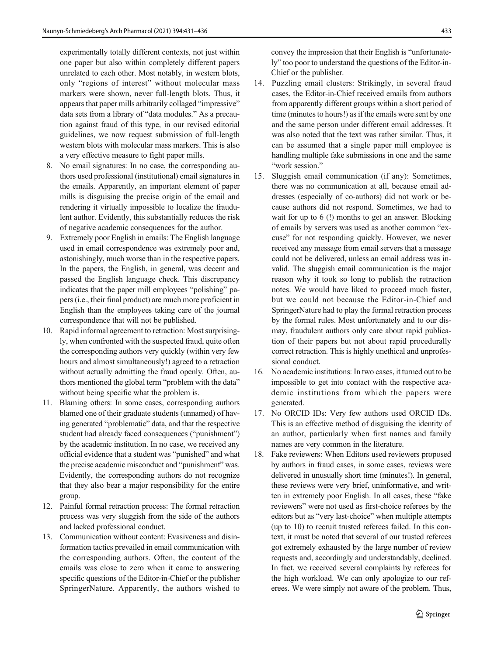experimentally totally different contexts, not just within one paper but also within completely different papers unrelated to each other. Most notably, in western blots, only "regions of interest" without molecular mass markers were shown, never full-length blots. Thus, it appears that paper mills arbitrarily collaged "impressive" data sets from a library of "data modules." As a precaution against fraud of this type, in our revised editorial guidelines, we now request submission of full-length western blots with molecular mass markers. This is also a very effective measure to fight paper mills.

- 8. No email signatures: In no case, the corresponding authors used professional (institutional) email signatures in the emails. Apparently, an important element of paper mills is disguising the precise origin of the email and rendering it virtually impossible to localize the fraudulent author. Evidently, this substantially reduces the risk of negative academic consequences for the author.
- 9. Extremely poor English in emails: The English language used in email correspondence was extremely poor and, astonishingly, much worse than in the respective papers. In the papers, the English, in general, was decent and passed the English language check. This discrepancy indicates that the paper mill employees "polishing" papers (i.e., their final product) are much more proficient in English than the employees taking care of the journal correspondence that will not be published.
- 10. Rapid informal agreement to retraction: Most surprisingly, when confronted with the suspected fraud, quite often the corresponding authors very quickly (within very few hours and almost simultaneously!) agreed to a retraction without actually admitting the fraud openly. Often, authors mentioned the global term "problem with the data" without being specific what the problem is.
- 11. Blaming others: In some cases, corresponding authors blamed one of their graduate students (unnamed) of having generated "problematic" data, and that the respective student had already faced consequences ("punishment") by the academic institution. In no case, we received any official evidence that a student was "punished" and what the precise academic misconduct and "punishment" was. Evidently, the corresponding authors do not recognize that they also bear a major responsibility for the entire group.
- 12. Painful formal retraction process: The formal retraction process was very sluggish from the side of the authors and lacked professional conduct.
- 13. Communication without content: Evasiveness and disinformation tactics prevailed in email communication with the corresponding authors. Often, the content of the emails was close to zero when it came to answering specific questions of the Editor-in-Chief or the publisher SpringerNature. Apparently, the authors wished to

convey the impression that their English is "unfortunately" too poor to understand the questions of the Editor-in-Chief or the publisher.

- 14. Puzzling email clusters: Strikingly, in several fraud cases, the Editor-in-Chief received emails from authors from apparently different groups within a short period of time (minutes to hours!) as if the emails were sent by one and the same person under different email addresses. It was also noted that the text was rather similar. Thus, it can be assumed that a single paper mill employee is handling multiple fake submissions in one and the same "work session."
- 15. Sluggish email communication (if any): Sometimes, there was no communication at all, because email addresses (especially of co-authors) did not work or because authors did not respond. Sometimes, we had to wait for up to 6 (!) months to get an answer. Blocking of emails by servers was used as another common "excuse" for not responding quickly. However, we never received any message from email servers that a message could not be delivered, unless an email address was invalid. The sluggish email communication is the major reason why it took so long to publish the retraction notes. We would have liked to proceed much faster, but we could not because the Editor-in-Chief and SpringerNature had to play the formal retraction process by the formal rules. Most unfortunately and to our dismay, fraudulent authors only care about rapid publication of their papers but not about rapid procedurally correct retraction. This is highly unethical and unprofessional conduct.
- 16. No academic institutions: In two cases, it turned out to be impossible to get into contact with the respective academic institutions from which the papers were generated.
- 17. No ORCID IDs: Very few authors used ORCID IDs. This is an effective method of disguising the identity of an author, particularly when first names and family names are very common in the literature.
- 18. Fake reviewers: When Editors used reviewers proposed by authors in fraud cases, in some cases, reviews were delivered in unusually short time (minutes!). In general, these reviews were very brief, uninformative, and written in extremely poor English. In all cases, these "fake reviewers" were not used as first-choice referees by the editors but as "very last-choice" when multiple attempts (up to 10) to recruit trusted referees failed. In this context, it must be noted that several of our trusted referees got extremely exhausted by the large number of review requests and, accordingly and understandably, declined. In fact, we received several complaints by referees for the high workload. We can only apologize to our referees. We were simply not aware of the problem. Thus,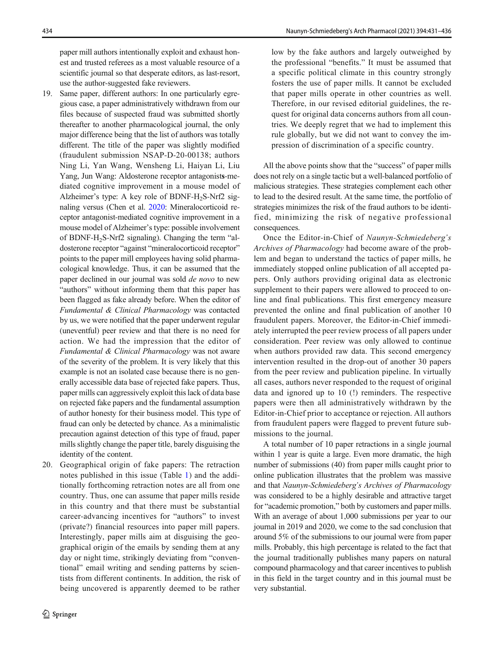paper mill authors intentionally exploit and exhaust honest and trusted referees as a most valuable resource of a scientific journal so that desperate editors, as last-resort, use the author-suggested fake reviewers.

- 19. Same paper, different authors: In one particularly egregious case, a paper administratively withdrawn from our files because of suspected fraud was submitted shortly thereafter to another pharmacological journal, the only major difference being that the list of authors was totally different. The title of the paper was slightly modified (fraudulent submission NSAP-D-20-00138; authors Ning Li, Yan Wang, Wensheng Li, Haiyan Li, Liu Yang, Jun Wang: Aldosterone receptor antagonists-mediated cognitive improvement in a mouse model of Alzheimer's type: A key role of BDNF-H2S-Nrf2 signaling versus (Chen et al. [2020:](#page-5-0) Mineralocorticoid receptor antagonist-mediated cognitive improvement in a mouse model of Alzheimer's type: possible involvement of BDNF-H<sub>2</sub>S-Nrf2 signaling). Changing the term "aldosterone receptor "against "mineralocorticoid receptor" points to the paper mill employees having solid pharmacological knowledge. Thus, it can be assumed that the paper declined in our journal was sold de novo to new "authors" without informing them that this paper has been flagged as fake already before. When the editor of Fundamental & Clinical Pharmacology was contacted by us, we were notified that the paper underwent regular (uneventful) peer review and that there is no need for action. We had the impression that the editor of Fundamental & Clinical Pharmacology was not aware of the severity of the problem. It is very likely that this example is not an isolated case because there is no generally accessible data base of rejected fake papers. Thus, paper mills can aggressively exploit this lack of data base on rejected fake papers and the fundamental assumption of author honesty for their business model. This type of fraud can only be detected by chance. As a minimalistic precaution against detection of this type of fraud, paper mills slightly change the paper title, barely disguising the identity of the content.
- 20. Geographical origin of fake papers: The retraction notes published in this issue (Table [1\)](#page-1-0) and the additionally forthcoming retraction notes are all from one country. Thus, one can assume that paper mills reside in this country and that there must be substantial career-advancing incentives for "authors" to invest (private?) financial resources into paper mill papers. Interestingly, paper mills aim at disguising the geographical origin of the emails by sending them at any day or night time, strikingly deviating from "conventional" email writing and sending patterns by scientists from different continents. In addition, the risk of being uncovered is apparently deemed to be rather

low by the fake authors and largely outweighed by the professional "benefits." It must be assumed that a specific political climate in this country strongly fosters the use of paper mills. It cannot be excluded that paper mills operate in other countries as well. Therefore, in our revised editorial guidelines, the request for original data concerns authors from all countries. We deeply regret that we had to implement this rule globally, but we did not want to convey the impression of discrimination of a specific country.

All the above points show that the "success" of paper mills does not rely on a single tactic but a well-balanced portfolio of malicious strategies. These strategies complement each other to lead to the desired result. At the same time, the portfolio of strategies minimizes the risk of the fraud authors to be identified, minimizing the risk of negative professional consequences.

Once the Editor-in-Chief of Naunyn-Schmiedeberg's Archives of Pharmacology had become aware of the problem and began to understand the tactics of paper mills, he immediately stopped online publication of all accepted papers. Only authors providing original data as electronic supplement to their papers were allowed to proceed to online and final publications. This first emergency measure prevented the online and final publication of another 10 fraudulent papers. Moreover, the Editor-in-Chief immediately interrupted the peer review process of all papers under consideration. Peer review was only allowed to continue when authors provided raw data. This second emergency intervention resulted in the drop-out of another 30 papers from the peer review and publication pipeline. In virtually all cases, authors never responded to the request of original data and ignored up to 10 (!) reminders. The respective papers were then all administratively withdrawn by the Editor-in-Chief prior to acceptance or rejection. All authors from fraudulent papers were flagged to prevent future submissions to the journal.

A total number of 10 paper retractions in a single journal within 1 year is quite a large. Even more dramatic, the high number of submissions (40) from paper mills caught prior to online publication illustrates that the problem was massive and that Naunyn-Schmiedeberg's Archives of Pharmacology was considered to be a highly desirable and attractive target for "academic promotion," both by customers and paper mills. With an average of about 1,000 submissions per year to our journal in 2019 and 2020, we come to the sad conclusion that around 5% of the submissions to our journal were from paper mills. Probably, this high percentage is related to the fact that the journal traditionally publishes many papers on natural compound pharmacology and that career incentives to publish in this field in the target country and in this journal must be very substantial.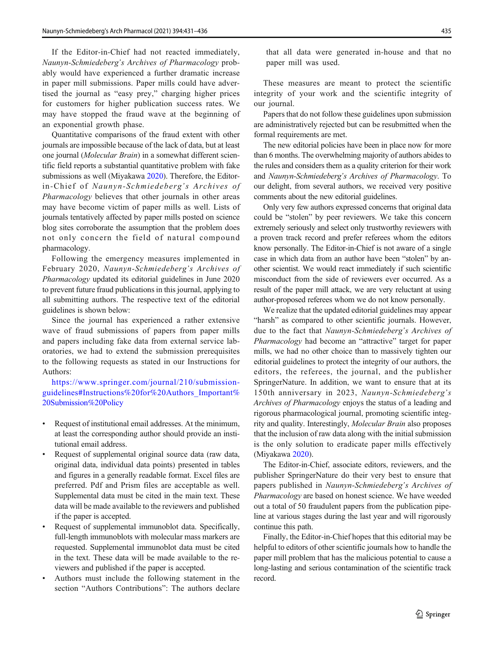If the Editor-in-Chief had not reacted immediately, Naunyn-Schmiedeberg's Archives of Pharmacology probably would have experienced a further dramatic increase in paper mill submissions. Paper mills could have advertised the journal as "easy prey," charging higher prices for customers for higher publication success rates. We may have stopped the fraud wave at the beginning of an exponential growth phase.

Quantitative comparisons of the fraud extent with other journals are impossible because of the lack of data, but at least one journal (Molecular Brain) in a somewhat different scientific field reports a substantial quantitative problem with fake submissions as well (Miyakawa [2020\)](#page-5-0). Therefore, the Editorin-Chief of Naunyn-Schmiedeberg's Archives of Pharmacology believes that other journals in other areas may have become victim of paper mills as well. Lists of journals tentatively affected by paper mills posted on science blog sites corroborate the assumption that the problem does not only concern the field of natural compound pharmacology.

Following the emergency measures implemented in February 2020, Naunyn-Schmiedeberg's Archives of Pharmacology updated its editorial guidelines in June 2020 to prevent future fraud publications in this journal, applying to all submitting authors. The respective text of the editorial guidelines is shown below:

Since the journal has experienced a rather extensive wave of fraud submissions of papers from paper mills and papers including fake data from external service laboratories, we had to extend the submission prerequisites to the following requests as stated in our Instructions for Authors:

[https://www.springer.com/journal/210/submission](https://www.springer.com/journal/210/submission-guidelines#Instructions%20for%20Authors_Important%20Submission%20Policy)[guidelines#Instructions%20for%20Authors\\_Important%](https://www.springer.com/journal/210/submission-guidelines#Instructions%20for%20Authors_Important%20Submission%20Policy) [20Submission%20Policy](https://www.springer.com/journal/210/submission-guidelines#Instructions%20for%20Authors_Important%20Submission%20Policy)

- Request of institutional email addresses. At the minimum, at least the corresponding author should provide an institutional email address.
- Request of supplemental original source data (raw data, original data, individual data points) presented in tables and figures in a generally readable format. Excel files are preferred. Pdf and Prism files are acceptable as well. Supplemental data must be cited in the main text. These data will be made available to the reviewers and published if the paper is accepted.
- Request of supplemental immunoblot data. Specifically, full-length immunoblots with molecular mass markers are requested. Supplemental immunoblot data must be cited in the text. These data will be made available to the reviewers and published if the paper is accepted.
- & Authors must include the following statement in the section "Authors Contributions": The authors declare

that all data were generated in-house and that no paper mill was used.

These measures are meant to protect the scientific integrity of your work and the scientific integrity of our journal.

Papers that do not follow these guidelines upon submission are administratively rejected but can be resubmitted when the formal requirements are met.

The new editorial policies have been in place now for more than 6 months. The overwhelming majority of authors abides to the rules and considers them as a quality criterion for their work and Naunyn-Schmiedeberg's Archives of Pharmacology. To our delight, from several authors, we received very positive comments about the new editorial guidelines.

Only very few authors expressed concerns that original data could be "stolen" by peer reviewers. We take this concern extremely seriously and select only trustworthy reviewers with a proven track record and prefer referees whom the editors know personally. The Editor-in-Chief is not aware of a single case in which data from an author have been "stolen" by another scientist. We would react immediately if such scientific misconduct from the side of reviewers ever occurred. As a result of the paper mill attack, we are very reluctant at using author-proposed referees whom we do not know personally.

We realize that the updated editorial guidelines may appear "harsh" as compared to other scientific journals. However, due to the fact that Naunyn-Schmiedeberg's Archives of Pharmacology had become an "attractive" target for paper mills, we had no other choice than to massively tighten our editorial guidelines to protect the integrity of our authors, the editors, the referees, the journal, and the publisher SpringerNature. In addition, we want to ensure that at its 150th anniversary in 2023, Naunyn-Schmiedeberg's Archives of Pharmacology enjoys the status of a leading and rigorous pharmacological journal, promoting scientific integrity and quality. Interestingly, Molecular Brain also proposes that the inclusion of raw data along with the initial submission is the only solution to eradicate paper mills effectively (Miyakawa [2020\)](#page-5-0).

The Editor-in-Chief, associate editors, reviewers, and the publisher SpringerNature do their very best to ensure that papers published in Naunyn-Schmiedeberg's Archives of Pharmacology are based on honest science. We have weeded out a total of 50 fraudulent papers from the publication pipeline at various stages during the last year and will rigorously continue this path.

Finally, the Editor-in-Chief hopes that this editorial may be helpful to editors of other scientific journals how to handle the paper mill problem that has the malicious potential to cause a long-lasting and serious contamination of the scientific track record.